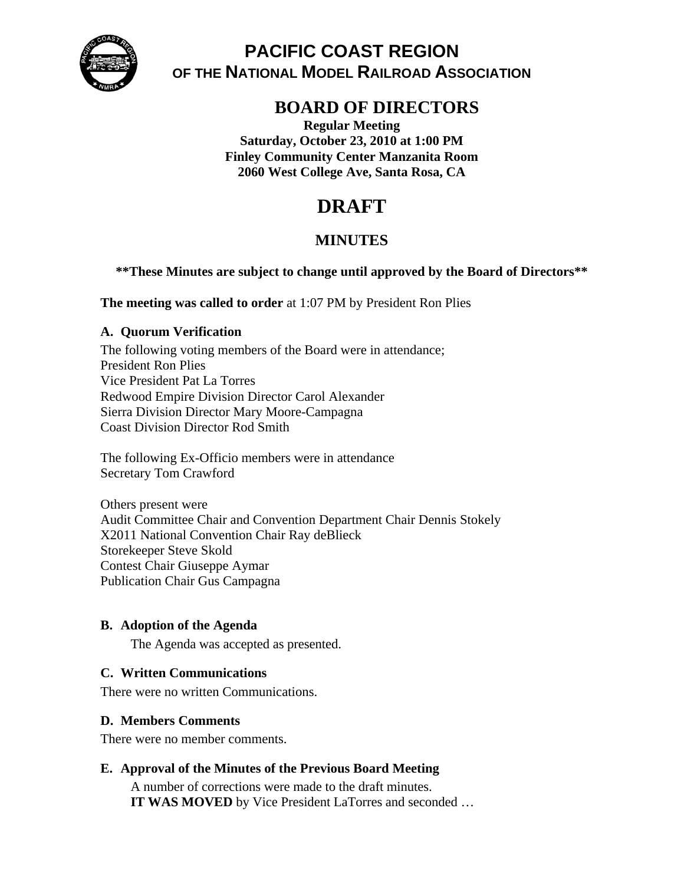

# **PACIFIC COAST REGION OF THE NATIONAL MODEL RAILROAD ASSOCIATION**

# **BOARD OF DIRECTORS**

**Regular Meeting Saturday, October 23, 2010 at 1:00 PM Finley Community Center Manzanita Room 2060 West College Ave, Santa Rosa, CA** 

# **DRAFT**

## **MINUTES**

## **\*\*These Minutes are subject to change until approved by the Board of Directors\*\***

**The meeting was called to order** at 1:07 PM by President Ron Plies

## **A. Quorum Verification**

The following voting members of the Board were in attendance; President Ron Plies Vice President Pat La Torres Redwood Empire Division Director Carol Alexander Sierra Division Director Mary Moore-Campagna Coast Division Director Rod Smith

The following Ex-Officio members were in attendance Secretary Tom Crawford

Others present were Audit Committee Chair and Convention Department Chair Dennis Stokely X2011 National Convention Chair Ray deBlieck Storekeeper Steve Skold Contest Chair Giuseppe Aymar Publication Chair Gus Campagna

## **B. Adoption of the Agenda**

The Agenda was accepted as presented.

## **C. Written Communications**

There were no written Communications.

## **D. Members Comments**

There were no member comments.

## **E. Approval of the Minutes of the Previous Board Meeting**

A number of corrections were made to the draft minutes. **IT WAS MOVED** by Vice President LaTorres and seconded …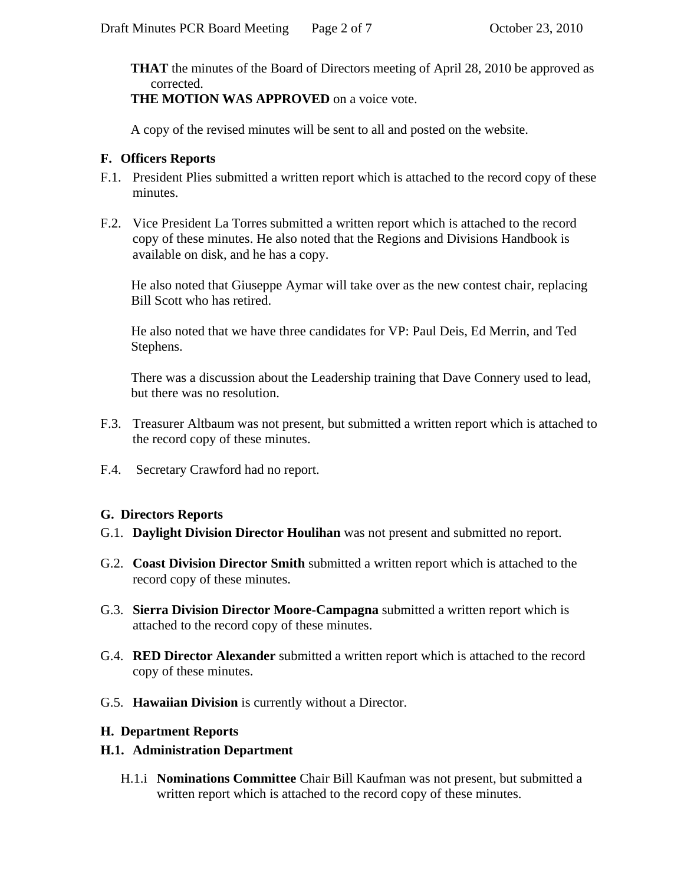**THAT** the minutes of the Board of Directors meeting of April 28, 2010 be approved as corrected.

**THE MOTION WAS APPROVED** on a voice vote.

A copy of the revised minutes will be sent to all and posted on the website.

## **F. Officers Reports**

- F.1. President Plies submitted a written report which is attached to the record copy of these minutes.
- F.2. Vice President La Torres submitted a written report which is attached to the record copy of these minutes. He also noted that the Regions and Divisions Handbook is available on disk, and he has a copy.

He also noted that Giuseppe Aymar will take over as the new contest chair, replacing Bill Scott who has retired.

He also noted that we have three candidates for VP: Paul Deis, Ed Merrin, and Ted Stephens.

There was a discussion about the Leadership training that Dave Connery used to lead, but there was no resolution.

- F.3. Treasurer Altbaum was not present, but submitted a written report which is attached to the record copy of these minutes.
- F.4. Secretary Crawford had no report.

## **G. Directors Reports**

- G.1. **Daylight Division Director Houlihan** was not present and submitted no report.
- G.2. **Coast Division Director Smith** submitted a written report which is attached to the record copy of these minutes.
- G.3. **Sierra Division Director Moore-Campagna** submitted a written report which is attached to the record copy of these minutes.
- G.4. **RED Director Alexander** submitted a written report which is attached to the record copy of these minutes.
- G.5. **Hawaiian Division** is currently without a Director.

## **H. Department Reports**

## **H.1. Administration Department**

H.1.i **Nominations Committee** Chair Bill Kaufman was not present, but submitted a written report which is attached to the record copy of these minutes.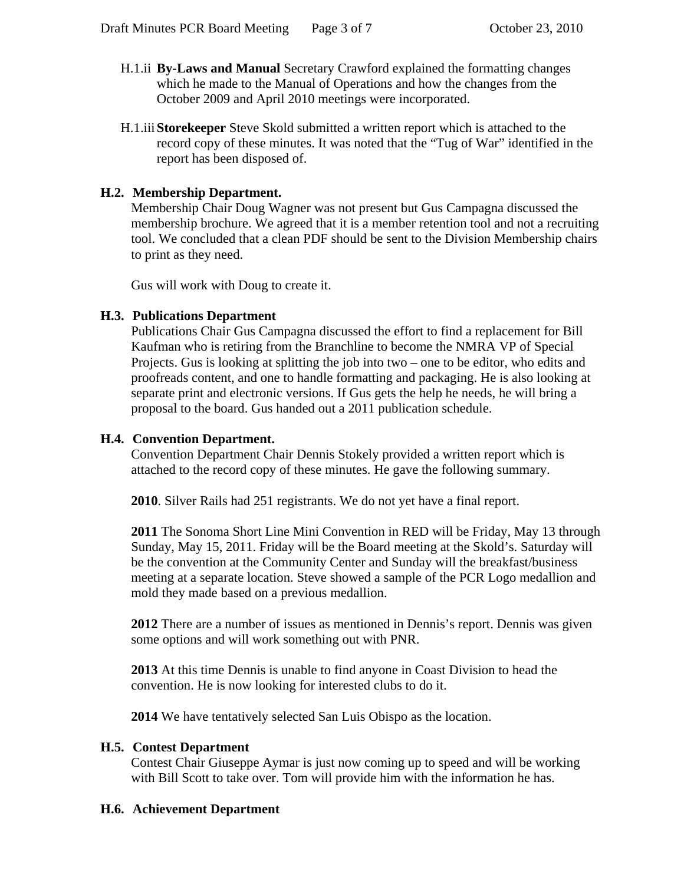- H.1.ii **By-Laws and Manual** Secretary Crawford explained the formatting changes which he made to the Manual of Operations and how the changes from the October 2009 and April 2010 meetings were incorporated.
- H.1.iii **Storekeeper** Steve Skold submitted a written report which is attached to the record copy of these minutes. It was noted that the "Tug of War" identified in the report has been disposed of.

## **H.2. Membership Department.**

Membership Chair Doug Wagner was not present but Gus Campagna discussed the membership brochure. We agreed that it is a member retention tool and not a recruiting tool. We concluded that a clean PDF should be sent to the Division Membership chairs to print as they need.

Gus will work with Doug to create it.

## **H.3. Publications Department**

Publications Chair Gus Campagna discussed the effort to find a replacement for Bill Kaufman who is retiring from the Branchline to become the NMRA VP of Special Projects. Gus is looking at splitting the job into two – one to be editor, who edits and proofreads content, and one to handle formatting and packaging. He is also looking at separate print and electronic versions. If Gus gets the help he needs, he will bring a proposal to the board. Gus handed out a 2011 publication schedule.

## **H.4. Convention Department.**

Convention Department Chair Dennis Stokely provided a written report which is attached to the record copy of these minutes. He gave the following summary.

**2010**. Silver Rails had 251 registrants. We do not yet have a final report.

**2011** The Sonoma Short Line Mini Convention in RED will be Friday, May 13 through Sunday, May 15, 2011. Friday will be the Board meeting at the Skold's. Saturday will be the convention at the Community Center and Sunday will the breakfast/business meeting at a separate location. Steve showed a sample of the PCR Logo medallion and mold they made based on a previous medallion.

**2012** There are a number of issues as mentioned in Dennis's report. Dennis was given some options and will work something out with PNR.

**2013** At this time Dennis is unable to find anyone in Coast Division to head the convention. He is now looking for interested clubs to do it.

**2014** We have tentatively selected San Luis Obispo as the location.

### **H.5. Contest Department**

Contest Chair Giuseppe Aymar is just now coming up to speed and will be working with Bill Scott to take over. Tom will provide him with the information he has.

## **H.6. Achievement Department**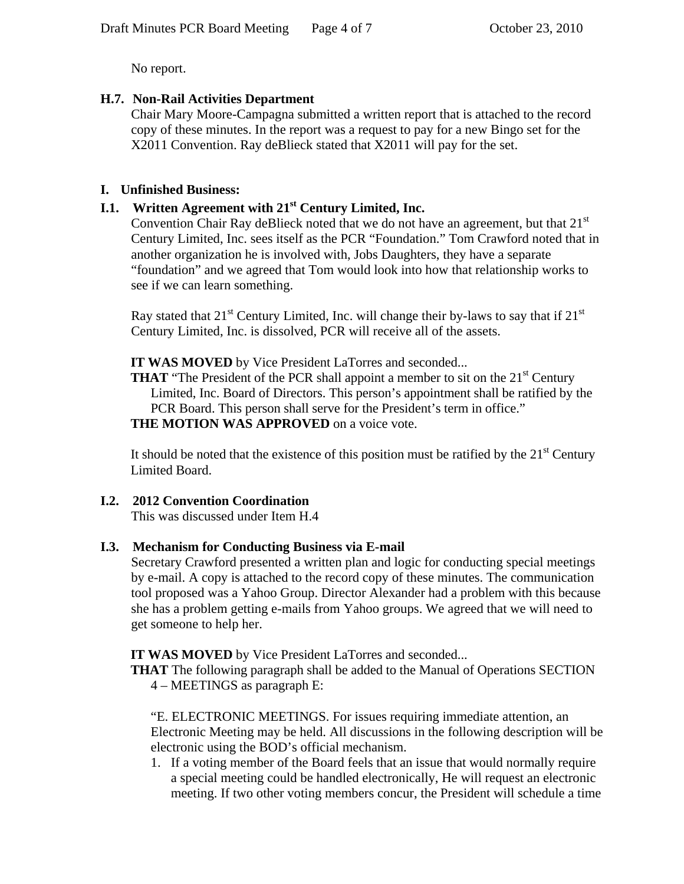No report.

## **H.7. Non-Rail Activities Department**

Chair Mary Moore-Campagna submitted a written report that is attached to the record copy of these minutes. In the report was a request to pay for a new Bingo set for the X2011 Convention. Ray deBlieck stated that X2011 will pay for the set.

## **I. Unfinished Business:**

## **I.1. Written Agreement with 21st Century Limited, Inc.**

Convention Chair Ray deBlieck noted that we do not have an agreement, but that  $21<sup>st</sup>$ Century Limited, Inc. sees itself as the PCR "Foundation." Tom Crawford noted that in another organization he is involved with, Jobs Daughters, they have a separate "foundation" and we agreed that Tom would look into how that relationship works to see if we can learn something.

Ray stated that  $21^{st}$  Century Limited, Inc. will change their by-laws to say that if  $21^{st}$ Century Limited, Inc. is dissolved, PCR will receive all of the assets.

**IT WAS MOVED** by Vice President LaTorres and seconded...

**THAT** "The President of the PCR shall appoint a member to sit on the 21<sup>st</sup> Century Limited, Inc. Board of Directors. This person's appointment shall be ratified by the PCR Board. This person shall serve for the President's term in office." **THE MOTION WAS APPROVED** on a voice vote.

It should be noted that the existence of this position must be ratified by the  $21<sup>st</sup>$  Century Limited Board.

## **I.2. 2012 Convention Coordination**

This was discussed under Item H.4

## **I.3. Mechanism for Conducting Business via E-mail**

Secretary Crawford presented a written plan and logic for conducting special meetings by e-mail. A copy is attached to the record copy of these minutes. The communication tool proposed was a Yahoo Group. Director Alexander had a problem with this because she has a problem getting e-mails from Yahoo groups. We agreed that we will need to get someone to help her.

**IT WAS MOVED** by Vice President LaTorres and seconded...

**THAT** The following paragraph shall be added to the Manual of Operations SECTION

4 – MEETINGS as paragraph E:

"E. ELECTRONIC MEETINGS. For issues requiring immediate attention, an Electronic Meeting may be held. All discussions in the following description will be electronic using the BOD's official mechanism.

1. If a voting member of the Board feels that an issue that would normally require a special meeting could be handled electronically, He will request an electronic meeting. If two other voting members concur, the President will schedule a time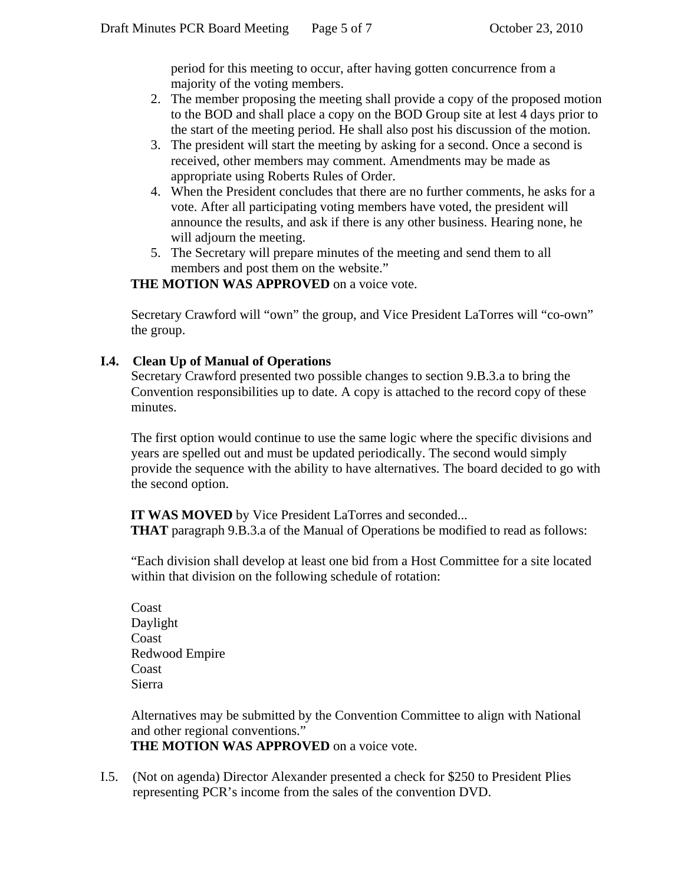period for this meeting to occur, after having gotten concurrence from a majority of the voting members.

- 2. The member proposing the meeting shall provide a copy of the proposed motion to the BOD and shall place a copy on the BOD Group site at lest 4 days prior to the start of the meeting period. He shall also post his discussion of the motion.
- 3. The president will start the meeting by asking for a second. Once a second is received, other members may comment. Amendments may be made as appropriate using Roberts Rules of Order.
- 4. When the President concludes that there are no further comments, he asks for a vote. After all participating voting members have voted, the president will announce the results, and ask if there is any other business. Hearing none, he will adjourn the meeting.
- 5. The Secretary will prepare minutes of the meeting and send them to all members and post them on the website."

## **THE MOTION WAS APPROVED** on a voice vote.

Secretary Crawford will "own" the group, and Vice President LaTorres will "co-own" the group.

## **I.4. Clean Up of Manual of Operations**

Secretary Crawford presented two possible changes to section 9.B.3.a to bring the Convention responsibilities up to date. A copy is attached to the record copy of these minutes.

The first option would continue to use the same logic where the specific divisions and years are spelled out and must be updated periodically. The second would simply provide the sequence with the ability to have alternatives. The board decided to go with the second option.

**IT WAS MOVED** by Vice President LaTorres and seconded... **THAT** paragraph 9.B.3.a of the Manual of Operations be modified to read as follows:

"Each division shall develop at least one bid from a Host Committee for a site located within that division on the following schedule of rotation:

Coast Daylight Coast Redwood Empire Coast Sierra

Alternatives may be submitted by the Convention Committee to align with National and other regional conventions." **THE MOTION WAS APPROVED** on a voice vote.

I.5. (Not on agenda) Director Alexander presented a check for \$250 to President Plies representing PCR's income from the sales of the convention DVD.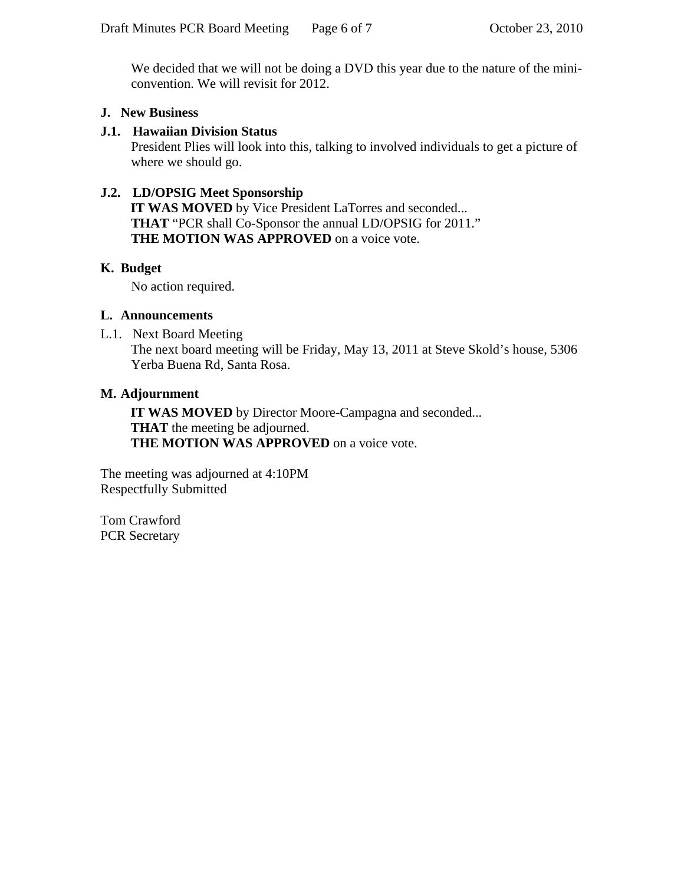We decided that we will not be doing a DVD this year due to the nature of the miniconvention. We will revisit for 2012.

## **J. New Business**

## **J.1. Hawaiian Division Status**

President Plies will look into this, talking to involved individuals to get a picture of where we should go.

## **J.2. LD/OPSIG Meet Sponsorship**

**IT WAS MOVED** by Vice President LaTorres and seconded... **THAT** "PCR shall Co-Sponsor the annual LD/OPSIG for 2011." **THE MOTION WAS APPROVED** on a voice vote.

## **K. Budget**

No action required.

## **L. Announcements**

L.1. Next Board Meeting

The next board meeting will be Friday, May 13, 2011 at Steve Skold's house, 5306 Yerba Buena Rd, Santa Rosa.

## **M. Adjournment**

**IT WAS MOVED** by Director Moore-Campagna and seconded... **THAT** the meeting be adjourned. **THE MOTION WAS APPROVED** on a voice vote.

The meeting was adjourned at 4:10PM Respectfully Submitted

Tom Crawford PCR Secretary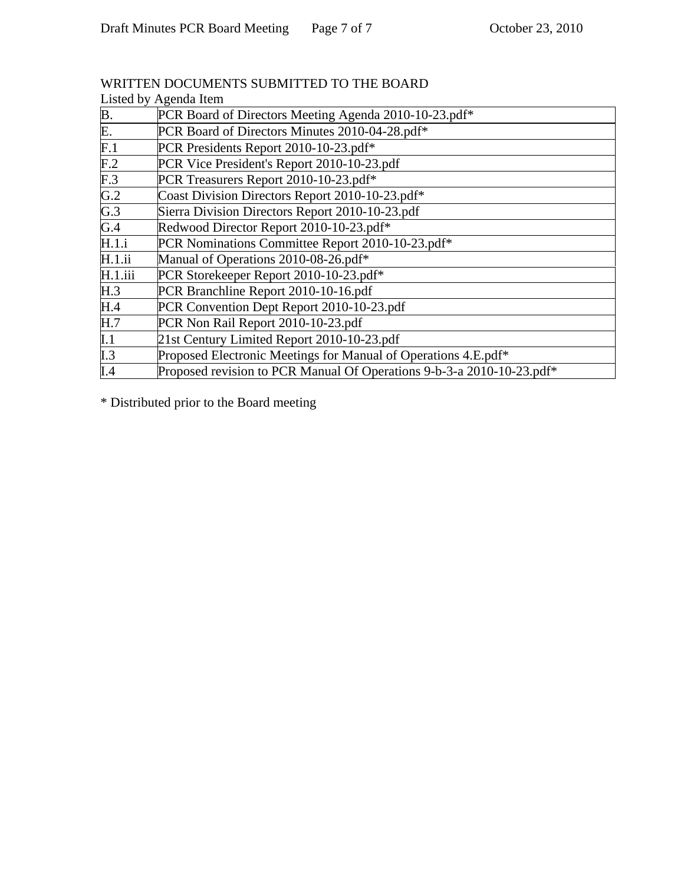|                  | Listed by Agenda Item                                                             |
|------------------|-----------------------------------------------------------------------------------|
| B.               | PCR Board of Directors Meeting Agenda 2010-10-23.pdf*                             |
| E.               | PCR Board of Directors Minutes 2010-04-28.pdf*                                    |
| F.1              | PCR Presidents Report 2010-10-23.pdf*                                             |
| F.2              | PCR Vice President's Report 2010-10-23.pdf                                        |
| F.3              | PCR Treasurers Report 2010-10-23.pdf*                                             |
| $\overline{G.2}$ | Coast Division Directors Report 2010-10-23.pdf*                                   |
| G.3              | Sierra Division Directors Report 2010-10-23.pdf                                   |
| G.4              | Redwood Director Report 2010-10-23.pdf*                                           |
| H.1.i            | PCR Nominations Committee Report 2010-10-23.pdf*                                  |
| H.1.ii           | Manual of Operations 2010-08-26.pdf*                                              |
| H.1.iii          | PCR Storekeeper Report 2010-10-23.pdf*                                            |
| H.3              | PCR Branchline Report 2010-10-16.pdf                                              |
| H.4              | PCR Convention Dept Report 2010-10-23.pdf                                         |
| H.7              | PCR Non Rail Report 2010-10-23.pdf                                                |
| $\mathbf{I}.1$   | 21st Century Limited Report 2010-10-23.pdf                                        |
| $\overline{1.3}$ | Proposed Electronic Meetings for Manual of Operations 4.E.pdf*                    |
| I.4              | Proposed revision to PCR Manual Of Operations 9-b-3-a 2010-10-23.pdf <sup>*</sup> |

## WRITTEN DOCUMENTS SUBMITTED TO THE BOARD

\* Distributed prior to the Board meeting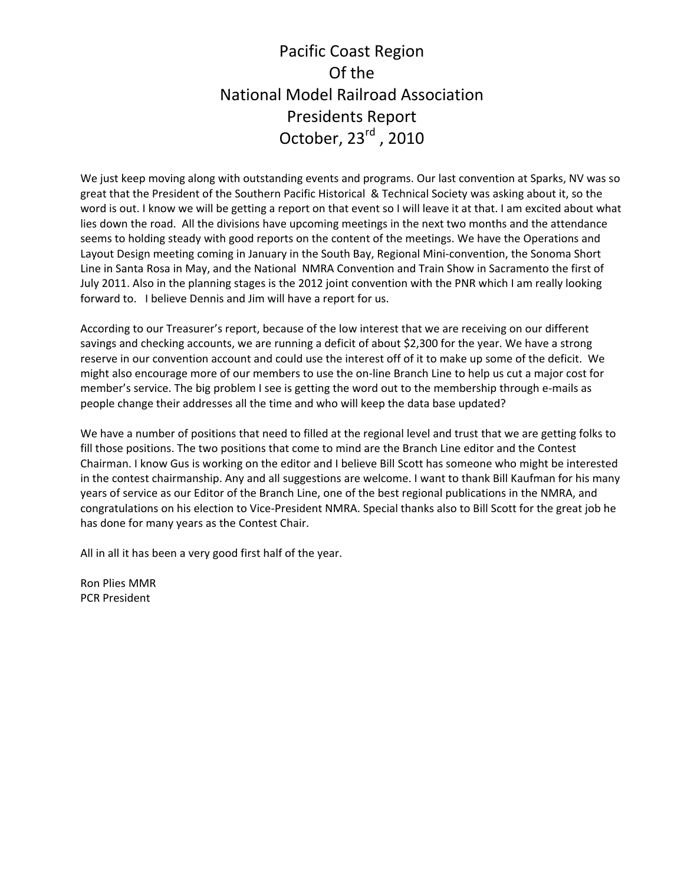# Pacific Coast Region Of the National Model Railroad Association Presidents Report October, 23<sup>rd</sup>, 2010

We just keep moving along with outstanding events and programs. Our last convention at Sparks, NV was so great that the President of the Southern Pacific Historical & Technical Society was asking about it, so the word is out. I know we will be getting a report on that event so I will leave it at that. I am excited about what lies down the road. All the divisions have upcoming meetings in the next two months and the attendance seems to holding steady with good reports on the content of the meetings. We have the Operations and Layout Design meeting coming in January in the South Bay, Regional Mini‐convention, the Sonoma Short Line in Santa Rosa in May, and the National NMRA Convention and Train Show in Sacramento the first of July 2011. Also in the planning stages is the 2012 joint convention with the PNR which I am really looking forward to. I believe Dennis and Jim will have a report for us.

According to our Treasurer's report, because of the low interest that we are receiving on our different savings and checking accounts, we are running a deficit of about \$2,300 for the year. We have a strong reserve in our convention account and could use the interest off of it to make up some of the deficit. We might also encourage more of our members to use the on‐line Branch Line to help us cut a major cost for member's service. The big problem I see is getting the word out to the membership through e-mails as people change their addresses all the time and who will keep the data base updated?

We have a number of positions that need to filled at the regional level and trust that we are getting folks to fill those positions. The two positions that come to mind are the Branch Line editor and the Contest Chairman. I know Gus is working on the editor and I believe Bill Scott has someone who might be interested in the contest chairmanship. Any and all suggestions are welcome. I want to thank Bill Kaufman for his many years of service as our Editor of the Branch Line, one of the best regional publications in the NMRA, and congratulations on his election to Vice‐President NMRA. Special thanks also to Bill Scott for the great job he has done for many years as the Contest Chair.

All in all it has been a very good first half of the year.

Ron Plies MMR PCR President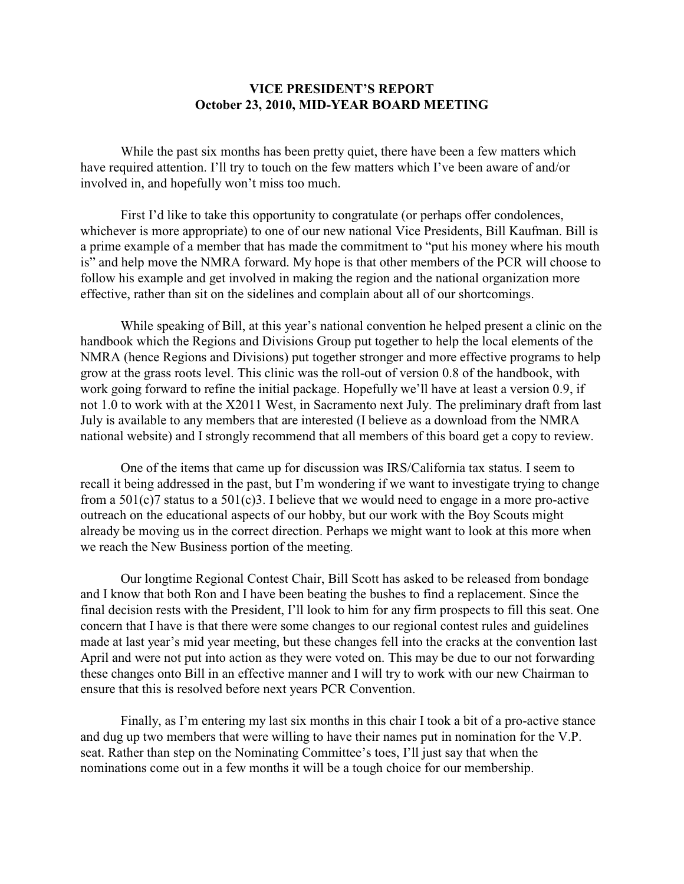## **VICE PRESIDENT'S REPORT October 23, 2010, MID-YEAR BOARD MEETING**

While the past six months has been pretty quiet, there have been a few matters which have required attention. I'll try to touch on the few matters which I've been aware of and/or involved in, and hopefully won't miss too much.

First I'd like to take this opportunity to congratulate (or perhaps offer condolences, whichever is more appropriate) to one of our new national Vice Presidents, Bill Kaufman. Bill is a prime example of a member that has made the commitment to "put his money where his mouth is" and help move the NMRA forward. My hope is that other members of the PCR will choose to follow his example and get involved in making the region and the national organization more effective, rather than sit on the sidelines and complain about all of our shortcomings.

While speaking of Bill, at this year's national convention he helped present a clinic on the handbook which the Regions and Divisions Group put together to help the local elements of the NMRA (hence Regions and Divisions) put together stronger and more effective programs to help grow at the grass roots level. This clinic was the roll-out of version 0.8 of the handbook, with work going forward to refine the initial package. Hopefully we'll have at least a version 0.9, if not 1.0 to work with at the X2011 West, in Sacramento next July. The preliminary draft from last July is available to any members that are interested (I believe as a download from the NMRA national website) and I strongly recommend that all members of this board get a copy to review.

One of the items that came up for discussion was IRS/California tax status. I seem to recall it being addressed in the past, but I'm wondering if we want to investigate trying to change from a 501(c)7 status to a 501(c)3. I believe that we would need to engage in a more pro-active outreach on the educational aspects of our hobby, but our work with the Boy Scouts might already be moving us in the correct direction. Perhaps we might want to look at this more when we reach the New Business portion of the meeting.

Our longtime Regional Contest Chair, Bill Scott has asked to be released from bondage and I know that both Ron and I have been beating the bushes to find a replacement. Since the final decision rests with the President, I'll look to him for any firm prospects to fill this seat. One concern that I have is that there were some changes to our regional contest rules and guidelines made at last year's mid year meeting, but these changes fell into the cracks at the convention last April and were not put into action as they were voted on. This may be due to our not forwarding these changes onto Bill in an effective manner and I will try to work with our new Chairman to ensure that this is resolved before next years PCR Convention.

Finally, as I'm entering my last six months in this chair I took a bit of a pro-active stance and dug up two members that were willing to have their names put in nomination for the V.P. seat. Rather than step on the Nominating Committee's toes, I'll just say that when the nominations come out in a few months it will be a tough choice for our membership.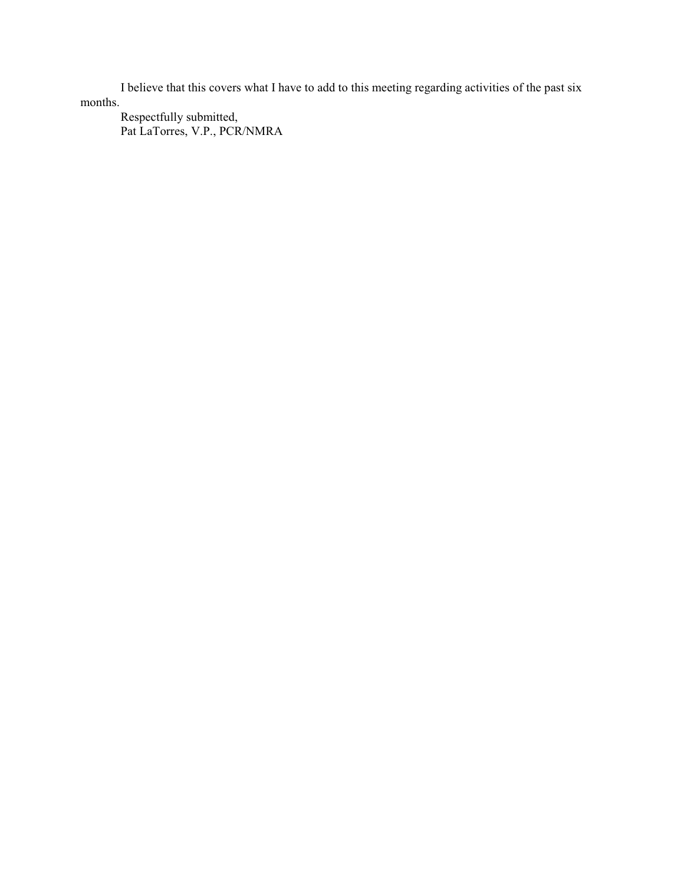I believe that this covers what I have to add to this meeting regarding activities of the past six months.

Respectfully submitted, Pat LaTorres, V.P., PCR/NMRA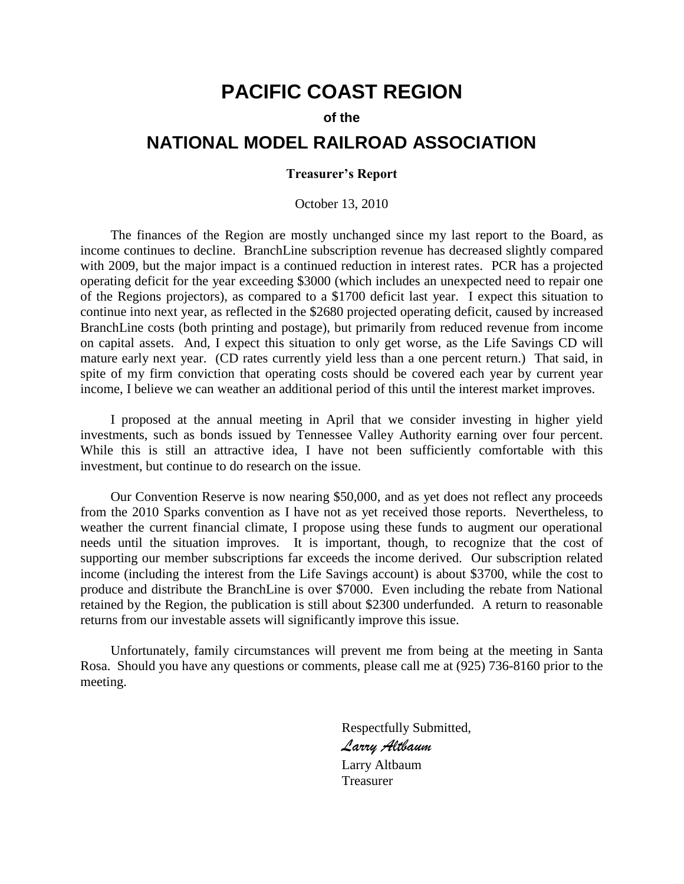# **PACIFIC COAST REGION**

## **of the**

## **NATIONAL MODEL RAILROAD ASSOCIATION**

## **Treasurer's Report**

### October 13, 2010

The finances of the Region are mostly unchanged since my last report to the Board, as income continues to decline. BranchLine subscription revenue has decreased slightly compared with 2009, but the major impact is a continued reduction in interest rates. PCR has a projected operating deficit for the year exceeding \$3000 (which includes an unexpected need to repair one of the Regions projectors), as compared to a \$1700 deficit last year. I expect this situation to continue into next year, as reflected in the \$2680 projected operating deficit, caused by increased BranchLine costs (both printing and postage), but primarily from reduced revenue from income on capital assets. And, I expect this situation to only get worse, as the Life Savings CD will mature early next year. (CD rates currently yield less than a one percent return.) That said, in spite of my firm conviction that operating costs should be covered each year by current year income, I believe we can weather an additional period of this until the interest market improves.

I proposed at the annual meeting in April that we consider investing in higher yield investments, such as bonds issued by Tennessee Valley Authority earning over four percent. While this is still an attractive idea, I have not been sufficiently comfortable with this investment, but continue to do research on the issue.

Our Convention Reserve is now nearing \$50,000, and as yet does not reflect any proceeds from the 2010 Sparks convention as I have not as yet received those reports. Nevertheless, to weather the current financial climate, I propose using these funds to augment our operational needs until the situation improves. It is important, though, to recognize that the cost of supporting our member subscriptions far exceeds the income derived. Our subscription related income (including the interest from the Life Savings account) is about \$3700, while the cost to produce and distribute the BranchLine is over \$7000. Even including the rebate from National retained by the Region, the publication is still about \$2300 underfunded. A return to reasonable returns from our investable assets will significantly improve this issue.

Unfortunately, family circumstances will prevent me from being at the meeting in Santa Rosa. Should you have any questions or comments, please call me at (925) 736-8160 prior to the meeting.

> Respectfully Submitted, *Larry Altbaum* Larry Altbaum Treasurer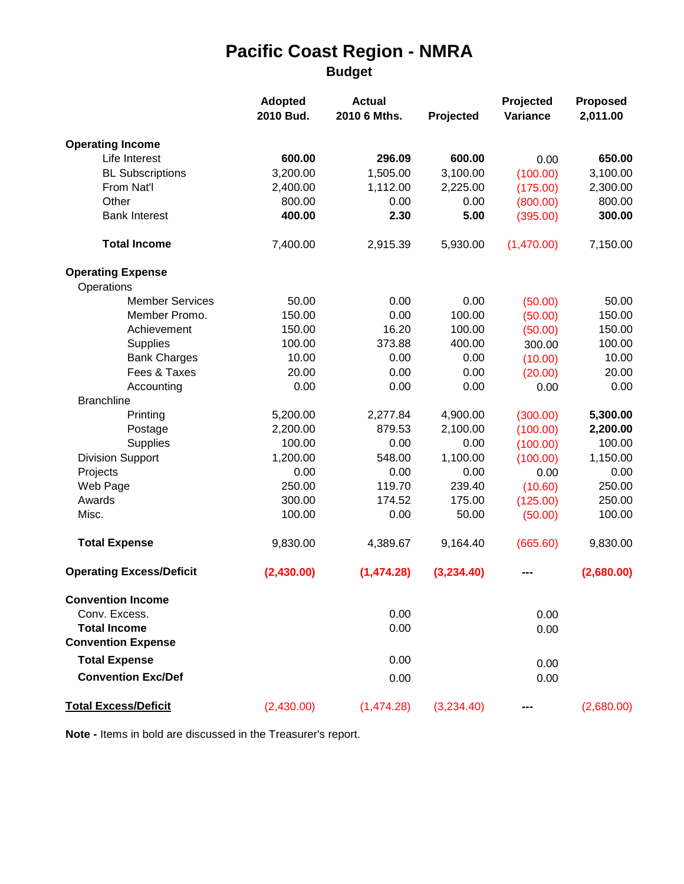# **Pacific Coast Region - NMRA Budget**

|                                                  | <b>Adopted</b><br>2010 Bud. | <b>Actual</b><br>2010 6 Mths. | Projected  | Projected<br>Variance | Proposed<br>2,011.00 |
|--------------------------------------------------|-----------------------------|-------------------------------|------------|-----------------------|----------------------|
| <b>Operating Income</b>                          |                             |                               |            |                       |                      |
| Life Interest                                    | 600.00                      | 296.09                        | 600.00     | 0.00                  | 650.00               |
| <b>BL Subscriptions</b>                          | 3,200.00                    | 1,505.00                      | 3,100.00   | (100.00)              | 3,100.00             |
| From Nat'l                                       | 2,400.00                    | 1,112.00                      | 2,225.00   | (175.00)              | 2,300.00             |
| Other                                            | 800.00                      | 0.00                          | 0.00       | (800.00)              | 800.00               |
| <b>Bank Interest</b>                             | 400.00                      | 2.30                          | 5.00       | (395.00)              | 300.00               |
| <b>Total Income</b>                              | 7,400.00                    | 2,915.39                      | 5,930.00   | (1,470.00)            | 7,150.00             |
| <b>Operating Expense</b>                         |                             |                               |            |                       |                      |
| Operations                                       |                             |                               |            |                       |                      |
| <b>Member Services</b>                           | 50.00                       | 0.00                          | 0.00       | (50.00)               | 50.00                |
| Member Promo.                                    | 150.00                      | 0.00                          | 100.00     | (50.00)               | 150.00               |
| Achievement                                      | 150.00                      | 16.20                         | 100.00     | (50.00)               | 150.00               |
| <b>Supplies</b>                                  | 100.00                      | 373.88                        | 400.00     | 300.00                | 100.00               |
| <b>Bank Charges</b>                              | 10.00                       | 0.00                          | 0.00       | (10.00)               | 10.00                |
| Fees & Taxes                                     | 20.00                       | 0.00                          | 0.00       | (20.00)               | 20.00                |
| Accounting                                       | 0.00                        | 0.00                          | 0.00       | 0.00                  | 0.00                 |
| <b>Branchline</b>                                |                             |                               |            |                       |                      |
| Printing                                         | 5,200.00                    | 2,277.84                      | 4,900.00   | (300.00)              | 5,300.00             |
| Postage                                          | 2,200.00                    | 879.53                        | 2,100.00   | (100.00)              | 2,200.00             |
| Supplies                                         | 100.00                      | 0.00                          | 0.00       | (100.00)              | 100.00               |
| <b>Division Support</b>                          | 1,200.00                    | 548.00                        | 1,100.00   | (100.00)              | 1,150.00             |
| Projects                                         | 0.00                        | 0.00                          | 0.00       | 0.00                  | 0.00                 |
| Web Page                                         | 250.00                      | 119.70                        | 239.40     | (10.60)               | 250.00               |
| Awards                                           | 300.00                      | 174.52                        | 175.00     | (125.00)              | 250.00               |
| Misc.                                            | 100.00                      | 0.00                          | 50.00      | (50.00)               | 100.00               |
| <b>Total Expense</b>                             | 9,830.00                    | 4,389.67                      | 9,164.40   | (665.60)              | 9,830.00             |
| <b>Operating Excess/Deficit</b>                  | (2,430.00)                  | (1,474.28)                    | (3,234.40) |                       | (2,680.00)           |
| <b>Convention Income</b>                         |                             |                               |            |                       |                      |
| Conv. Excess.                                    |                             | 0.00                          |            | 0.00                  |                      |
| <b>Total Income</b><br><b>Convention Expense</b> |                             | 0.00                          |            | 0.00                  |                      |
| <b>Total Expense</b>                             |                             | 0.00                          |            |                       |                      |
|                                                  |                             |                               |            | 0.00                  |                      |
| <b>Convention Exc/Def</b>                        |                             | 0.00                          |            | 0.00                  |                      |
| <b>Total Excess/Deficit</b>                      | (2,430.00)                  | (1,474.28)                    | (3,234.40) |                       | (2,680.00)           |

**Note -** Items in bold are discussed in the Treasurer's report.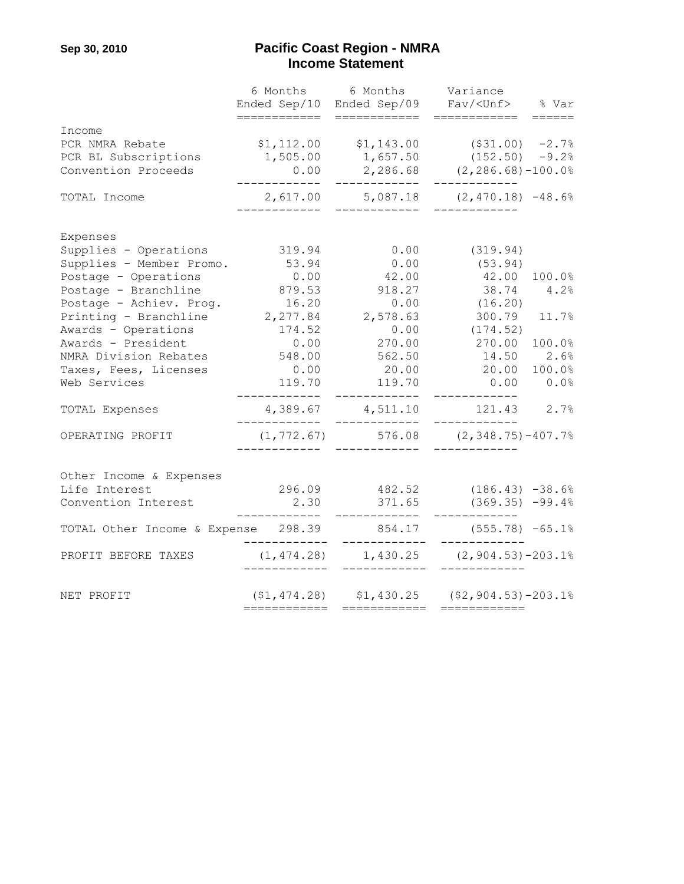## **Sep 30, 2010 Pacific Coast Region - NMRA Example 21 and 22 and 23 and 24 and 25 and 26 and 26 and 26 and 26 and 26 and 26 and 26 and 26 and 26 and 26 and 26 and 26 and 26 and 26 and 26 and 26 and 26 and 26 and 26 and 26 and 26 and 26 and 26 and 26 and 26 and 26**

|                                     | Ended Sep/10                  | 6 Months 6 Months Variance                          | Ended Sep/09 Fav/ <unf> % Var</unf>             |        |
|-------------------------------------|-------------------------------|-----------------------------------------------------|-------------------------------------------------|--------|
|                                     | ============                  | ============                                        | ============                                    | ====== |
| Income                              |                               |                                                     |                                                 |        |
| PCR NMRA Rebate                     | \$1, 112.00                   | \$1,143.00                                          | $($ \$31.00) $-2.7%$                            |        |
| PCR BL Subscriptions                | 1,505.00                      | 1,657.50                                            | $(152.50)$ -9.2%                                |        |
| Convention Proceeds                 | 0.00<br>____________          | ------------                                        | $2,286.68$ $(2,286.68) -100.0%$<br>____________ |        |
| TOTAL Income                        | ____________                  | 2,617.00 5,087.18 (2,470.18) -48.6%<br>____________ |                                                 |        |
| Expenses                            |                               |                                                     |                                                 |        |
| Supplies - Operations               | 319.94                        | 0.00                                                | (319.94)                                        |        |
| Supplies - Member Promo.            | 53.94                         | 0.00                                                | (53.94)                                         |        |
| Postage - Operations                | 0.00                          | 42.00                                               | 42.00                                           | 100.0% |
| Postage - Branchline                | 879.53                        | 918.27                                              | 38.74 4.2%                                      |        |
| Postage - Achiev. Prog.             | 16.20                         | 0.00                                                | (16.20)                                         |        |
| Printing - Branchline               | 2,277.84                      | 2,578.63                                            | 300.79 11.7%                                    |        |
| Awards - Operations                 | 174.52                        | 0.00                                                | (174.52)                                        |        |
| Awards - President                  |                               | $0.00$ 270.00                                       | 270.00                                          | 100.0% |
| NMRA Division Rebates               | 548.00                        | 562.50                                              | $14.50$ $2.6%$                                  |        |
| Taxes, Fees, Licenses               | 0.00                          | 20.00                                               | 20.00                                           | 100.0% |
| Web Services                        | 119.70                        | 119.70<br>. <u>.</u>                                | 0.00<br>----------                              | 0.0%   |
| TOTAL Expenses                      | ------------                  | 4,389.67 4,511.10<br>____________                   | 121.43                                          | 2.7%   |
| OPERATING PROFIT                    |                               | $(1, 772.67)$ 576.08 $(2, 348.75)$ -407.7%          |                                                 |        |
|                                     |                               |                                                     |                                                 |        |
| Other Income & Expenses             |                               |                                                     |                                                 |        |
| Life Interest                       | 296.09                        |                                                     | $482.52$ $(186.43) -38.6%$                      |        |
| Convention Interest                 | 2.30<br>. _ _ _ _ _ _ _ _ _ _ |                                                     | $371.65$ (369.35) -99.4%                        |        |
| TOTAL Other Income & Expense 298.39 | $- -$                         | ____________                                        | $854.17$ (555.78) $-65.1\%$                     |        |
| PROFIT BEFORE TAXES                 |                               | $(1, 474.28)$ $1, 430.25$ $(2, 904.53)$ -203.1%     |                                                 |        |
| NET PROFIT                          |                               | $(51, 474.28)$ $51, 430.25$ $(52, 904.53) - 203.18$ |                                                 |        |
|                                     | ============                  | ============                                        | ============                                    |        |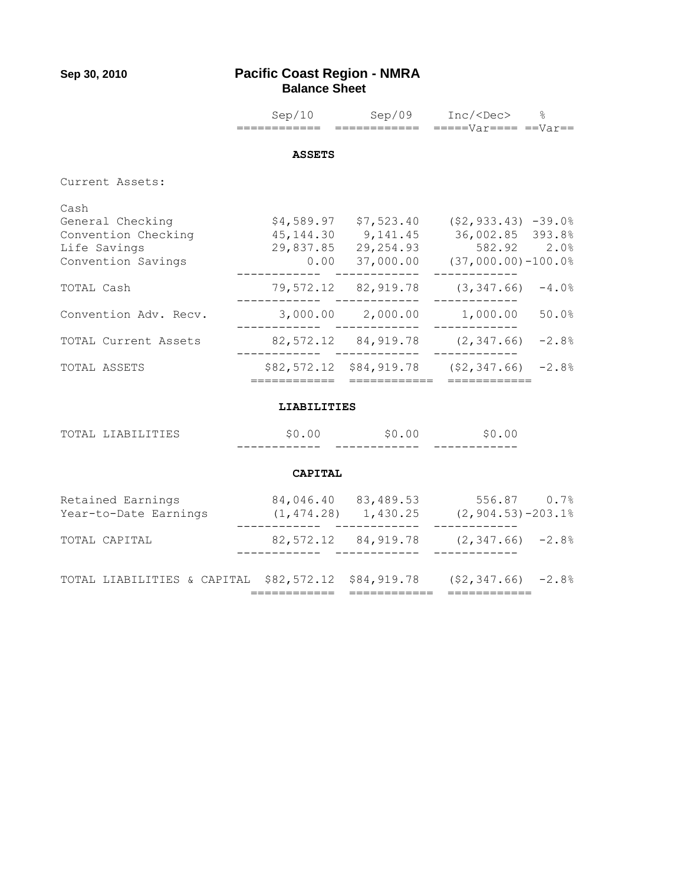## **Sep 30, 2010 Pacific Coast Region - NMRA Balance Sheet**

|                                                                                       | ============       | ============               | $Sep/10$ $Sep/09$ $Inc/$ %<br>$====Var====Var==$                                                                                                                            |
|---------------------------------------------------------------------------------------|--------------------|----------------------------|-----------------------------------------------------------------------------------------------------------------------------------------------------------------------------|
|                                                                                       |                    |                            |                                                                                                                                                                             |
|                                                                                       | <b>ASSETS</b>      |                            |                                                                                                                                                                             |
| Current Assets:                                                                       |                    |                            |                                                                                                                                                                             |
| Cash<br>General Checking<br>Convention Checking<br>Life Savings<br>Convention Savings |                    | ---------                  | $$4,589.97$ $$7,523.40$ $$2,933.43$ $-39.0%$<br>45,144.30 9,141.45 36,002.85 393.8%<br>29,837.85 29,254.93 582.92 2.0%<br>$0.00$ 37,000.00 (37,000.00)-100.0%<br>---------- |
| TOTAL Cash                                                                            |                    | __________________________ | $79,572.12$ $82,919.78$ $(3,347.66)$ $-4.0%$                                                                                                                                |
| Convention Adv. Recv.                                                                 |                    |                            | ---------<br>$3,000.00$ $2,000.00$ $1,000.00$<br>50.0%                                                                                                                      |
| TOTAL Current Assets                                                                  |                    | ------- ------------       | $82,572.12$ $84,919.78$ $(2,347.66)$ $-2.8%$                                                                                                                                |
| TOTAL ASSETS                                                                          | ============       | ============               | $$82,572.12$ $$84,919.78$ $$2,347.66$ $$2,88$<br>============                                                                                                               |
|                                                                                       | <b>LIABILITIES</b> |                            |                                                                                                                                                                             |
| TOTAL LIABILITIES                                                                     | \$0.00             |                            | $$0.00$ $$0.00$                                                                                                                                                             |
|                                                                                       | <b>CAPITAL</b>     |                            |                                                                                                                                                                             |
| Retained Earnings<br>Year-to-Date Earnings                                            |                    |                            | 84,046.40 83,489.53 556.87 0.7%<br>$(1, 474.28)$ 1, 430.25 $(2, 904.53)$ -203.1%                                                                                            |
| TOTAL CAPITAL                                                                         |                    |                            | $82,572.12$ $84,919.78$ $(2,347.66)$ $-2.8%$                                                                                                                                |
| TOTAL LIABILITIES & CAPITAL                                                           |                    | \$82,572.12 \$84,919.78    | $(52, 347.66) -2.8%$                                                                                                                                                        |

============ ============ ============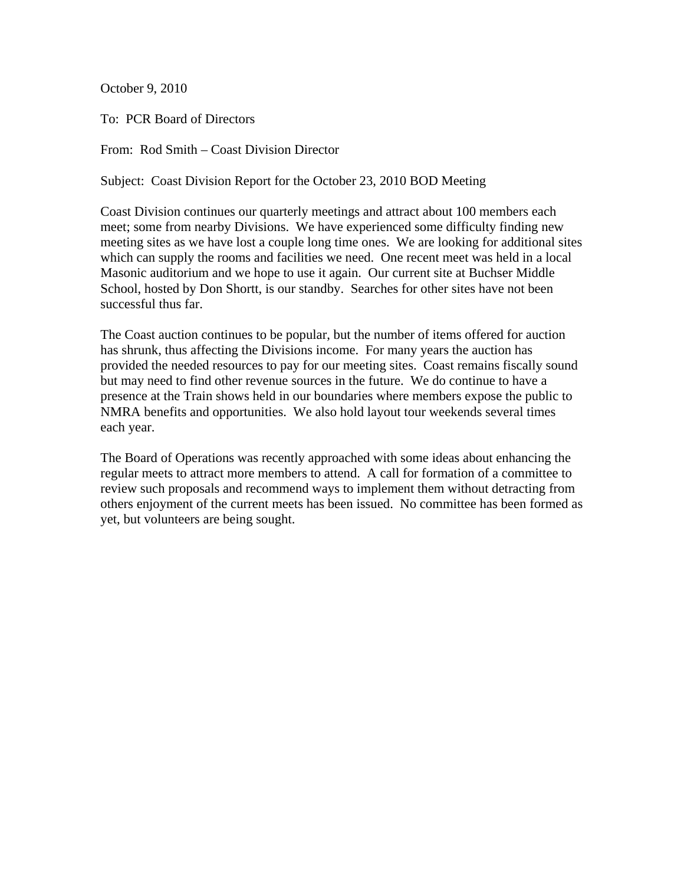October 9, 2010

To: PCR Board of Directors

From: Rod Smith – Coast Division Director

Subject: Coast Division Report for the October 23, 2010 BOD Meeting

Coast Division continues our quarterly meetings and attract about 100 members each meet; some from nearby Divisions. We have experienced some difficulty finding new meeting sites as we have lost a couple long time ones. We are looking for additional sites which can supply the rooms and facilities we need. One recent meet was held in a local Masonic auditorium and we hope to use it again. Our current site at Buchser Middle School, hosted by Don Shortt, is our standby. Searches for other sites have not been successful thus far.

The Coast auction continues to be popular, but the number of items offered for auction has shrunk, thus affecting the Divisions income. For many years the auction has provided the needed resources to pay for our meeting sites. Coast remains fiscally sound but may need to find other revenue sources in the future. We do continue to have a presence at the Train shows held in our boundaries where members expose the public to NMRA benefits and opportunities. We also hold layout tour weekends several times each year.

The Board of Operations was recently approached with some ideas about enhancing the regular meets to attract more members to attend. A call for formation of a committee to review such proposals and recommend ways to implement them without detracting from others enjoyment of the current meets has been issued. No committee has been formed as yet, but volunteers are being sought.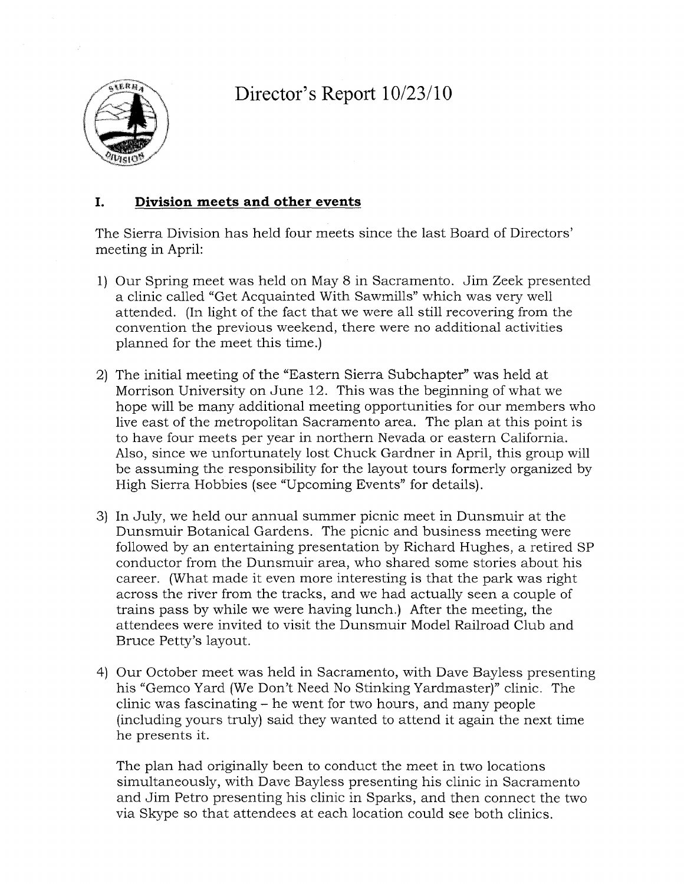Director's Report  $10/23/10$ 



### I. Division meets and other events

The Sierra Division has held four meets since the last Board of Directors' meeting in April:

- 1) Our Spring meet was held on May 8 in Sacramento. Jim Zeek presented a clinic called "Get Acquainted With Sawmills" which was very well attended. (In light of the fact that we were all still recovering from the convention the previous weekend, there were no additional activities planned for the meet this time.)
- 2) The initial meeting of the "Eastern Sierra Subchapter" was held at Morrison University on June 12. This was the beginning of what we hope will be many additional meeting opportunities for our members who live east of the metropolitan Sacramento area. The plan at this point is to have four meets per year in northern Nevada or eastern California. Also, since we unfortunately lost Chuck Gardner in April, this group will be assuming the responsibility for the layout tours formerly organized by High Sierra Hobbies (see "Upcoming Events" for details).
- 3) In July, we held our annual summer picnic meet in Dunsmuir at the Dunsmuir Botanical Gardens. The picnic and business meeting were followed by an entertaining presentation by Richard Hughes, a retired SP conductor from the Dunsmuir area, who shared some stories about his career. (What made it even more interesting is that the park was right across the river from the tracks, and we had actually seen a couple of trains pass by while we were having lunch.) After the meeting, the attendees were invited to visit the Dunsmuir Model Railroad Club and Bruce Petty's layout.
- 4) Our October meet was held in Sacramento, with Dave Bayless presenting his "Gemco Yard (We Don't Need No Stinking Yardmaster)" clinic. The clinic was fascinating – he went for two hours, and many people (including yours truly) said they wanted to attend it again the next time he presents it.

The plan had originally been to conduct the meet in two locations simultaneously, with Dave Bayless presenting his clinic in Sacramento and Jim Petro presenting his clinic in Sparks, and then connect the two via Skype so that attendees at each location could see both clinics.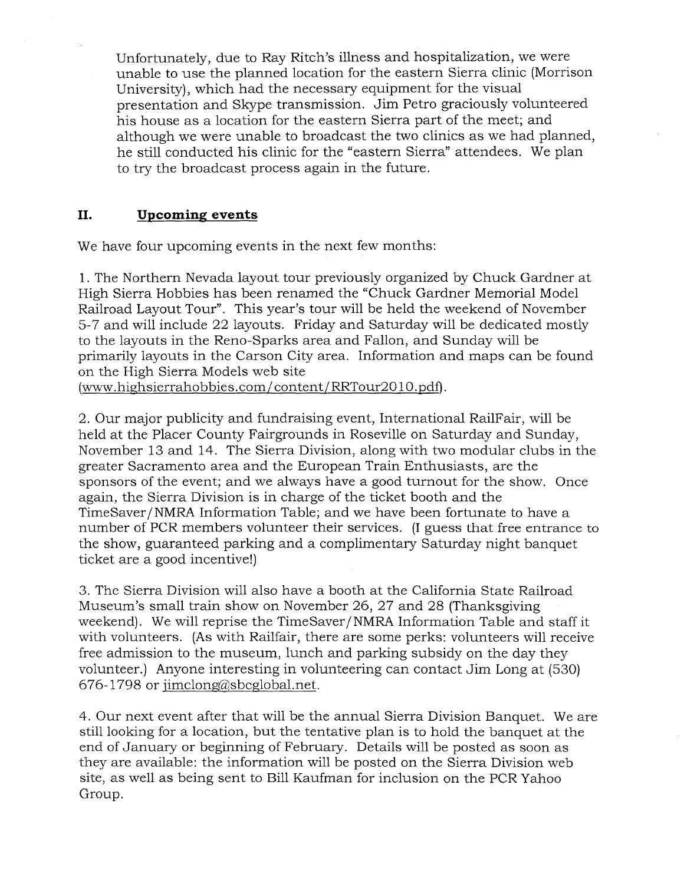Unfortunately, due to Ray Ritch's illness and hospitalization, we were unable to use the planned location for the eastern Sierra clinic (Morrison University), which had the necessary equipment for the visual presentation and Skype transmission. Jim Petro graciously volunteered his house as a location for the eastern Sierra part of the meet; and although we were unable to broadcast the two clinics as we had planned, he still conducted his clinic for the "eastern Sierra" attendees. We plan to try the broadcast process again in the future.

### II. **Upcoming events**

We have four upcoming events in the next few months:

1. The Northern Nevada layout tour previously organized by Chuck Gardner at High Sierra Hobbies has been renamed the "Chuck Gardner Memorial Model" Railroad Layout Tour". This year's tour will be held the weekend of November 5-7 and will include 22 layouts. Friday and Saturday will be dedicated mostly to the layouts in the Reno-Sparks area and Fallon, and Sunday will be primarily layouts in the Carson City area. Information and maps can be found on the High Sierra Models web site

(www.highsierrahobbies.com/content/RRTour2010.pdf).

2. Our major publicity and fundraising event, International RailFair, will be held at the Placer County Fairgrounds in Roseville on Saturday and Sunday, November 13 and 14. The Sierra Division, along with two modular clubs in the greater Sacramento area and the European Train Enthusiasts, are the sponsors of the event; and we always have a good turnout for the show. Once again, the Sierra Division is in charge of the ticket booth and the TimeSaver/NMRA Information Table; and we have been fortunate to have a number of PCR members volunteer their services. (I guess that free entrance to the show, guaranteed parking and a complimentary Saturday night banquet ticket are a good incentive!)

3. The Sierra Division will also have a booth at the California State Railroad Museum's small train show on November 26, 27 and 28 (Thanksgiving weekend). We will reprise the TimeSaver/NMRA Information Table and staff it with volunteers. (As with Railfair, there are some perks: volunteers will receive free admission to the museum, lunch and parking subsidy on the day they volunteer.) Anyone interesting in volunteering can contact Jim Long at (530) 676-1798 or jimclong@sbcglobal.net.

4. Our next event after that will be the annual Sierra Division Banquet. We are still looking for a location, but the tentative plan is to hold the banquet at the end of January or beginning of February. Details will be posted as soon as they are available: the information will be posted on the Sierra Division web site, as well as being sent to Bill Kaufman for inclusion on the PCR Yahoo Group.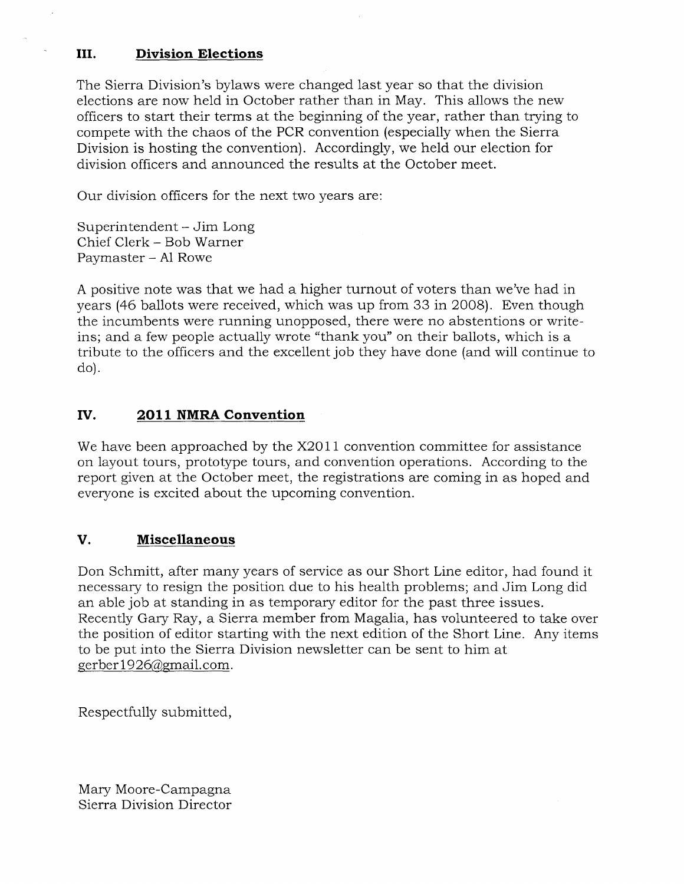### III. **Division Elections**

The Sierra Division's bylaws were changed last year so that the division elections are now held in October rather than in May. This allows the new officers to start their terms at the beginning of the year, rather than trying to compete with the chaos of the PCR convention (especially when the Sierra Division is hosting the convention). Accordingly, we held our election for division officers and announced the results at the October meet.

Our division officers for the next two years are:

Superintendent – Jim Long Chief Clerk - Bob Warner Paymaster - Al Rowe

A positive note was that we had a higher turnout of voters than we've had in years (46 ballots were received, which was up from 33 in 2008). Even though the incumbents were running unopposed, there were no abstentions or writeins; and a few people actually wrote "thank you" on their ballots, which is a tribute to the officers and the excellent job they have done (and will continue to do).

### IV. 2011 NMRA Convention

We have been approached by the X2011 convention committee for assistance on layout tours, prototype tours, and convention operations. According to the report given at the October meet, the registrations are coming in as hoped and everyone is excited about the upcoming convention.

#### V. **Miscellaneous**

Don Schmitt, after many years of service as our Short Line editor, had found it necessary to resign the position due to his health problems; and Jim Long did an able job at standing in as temporary editor for the past three issues. Recently Gary Ray, a Sierra member from Magalia, has volunteered to take over the position of editor starting with the next edition of the Short Line. Any items to be put into the Sierra Division newsletter can be sent to him at gerber1926@gmail.com.

Respectfully submitted,

Mary Moore-Campagna Sierra Division Director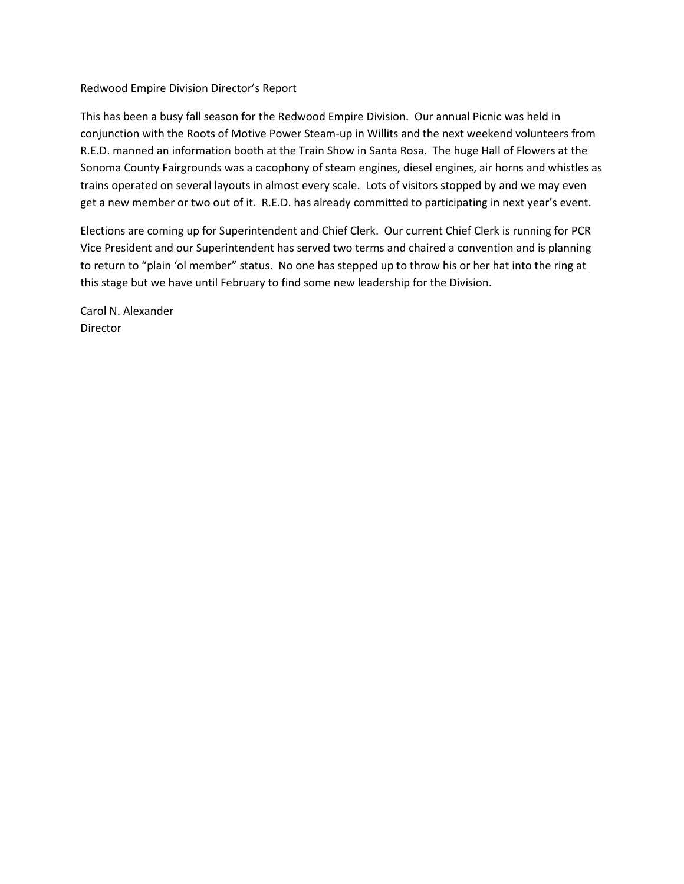### Redwood Empire Division Director's Report

This has been a busy fall season for the Redwood Empire Division. Our annual Picnic was held in conjunction with the Roots of Motive Power Steam-up in Willits and the next weekend volunteers from R.E.D. manned an information booth at the Train Show in Santa Rosa. The huge Hall of Flowers at the Sonoma County Fairgrounds was a cacophony of steam engines, diesel engines, air horns and whistles as trains operated on several layouts in almost every scale. Lots of visitors stopped by and we may even get a new member or two out of it. R.E.D. has already committed to participating in next year's event.

Elections are coming up for Superintendent and Chief Clerk. Our current Chief Clerk is running for PCR Vice President and our Superintendent has served two terms and chaired a convention and is planning to return to "plain 'ol member" status. No one has stepped up to throw his or her hat into the ring at this stage but we have until February to find some new leadership for the Division.

Carol N. Alexander **Director**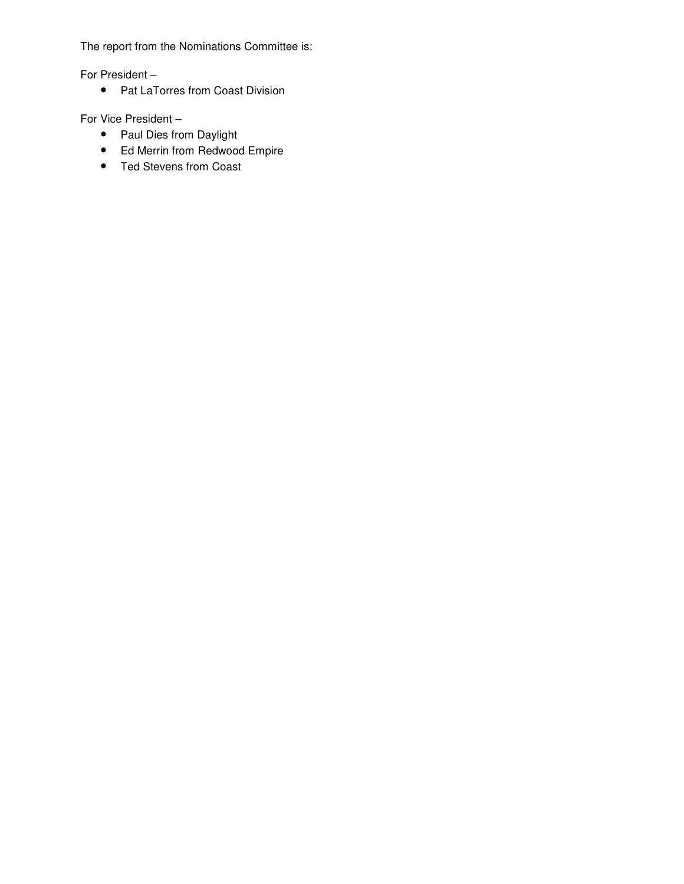The report from the Nominations Committee is:

For President –

• Pat LaTorres from Coast Division

For Vice President –

- Paul Dies from Daylight
- Ed Merrin from Redwood Empire
- Ted Stevens from Coast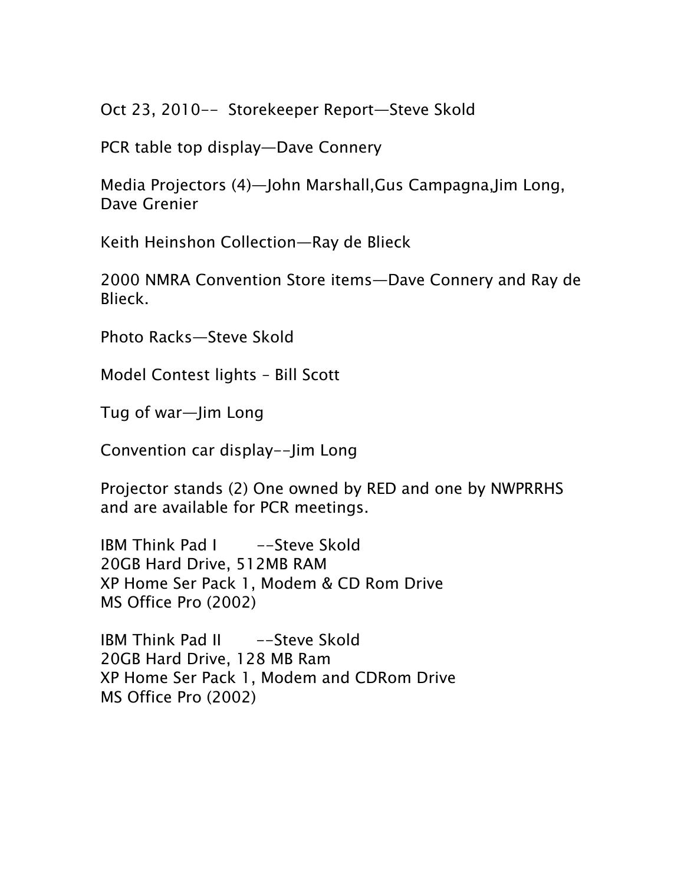Oct 23, 2010-- Storekeeper Report—Steve Skold

PCR table top display—Dave Connery

Media Projectors (4)—John Marshall,Gus Campagna,Jim Long, Dave Grenier

Keith Heinshon Collection—Ray de Blieck

2000 NMRA Convention Store items—Dave Connery and Ray de Blieck.

Photo Racks—Steve Skold

Model Contest lights – Bill Scott

Tug of war—Jim Long

Convention car display--Jim Long

Projector stands (2) One owned by RED and one by NWPRRHS and are available for PCR meetings.

IBM Think Pad I -Steve Skold 20GB Hard Drive, 512MB RAM XP Home Ser Pack 1, Modem & CD Rom Drive MS Office Pro (2002)

IBM Think Pad II -Steve Skold 20GB Hard Drive, 128 MB Ram XP Home Ser Pack 1, Modem and CDRom Drive MS Office Pro (2002)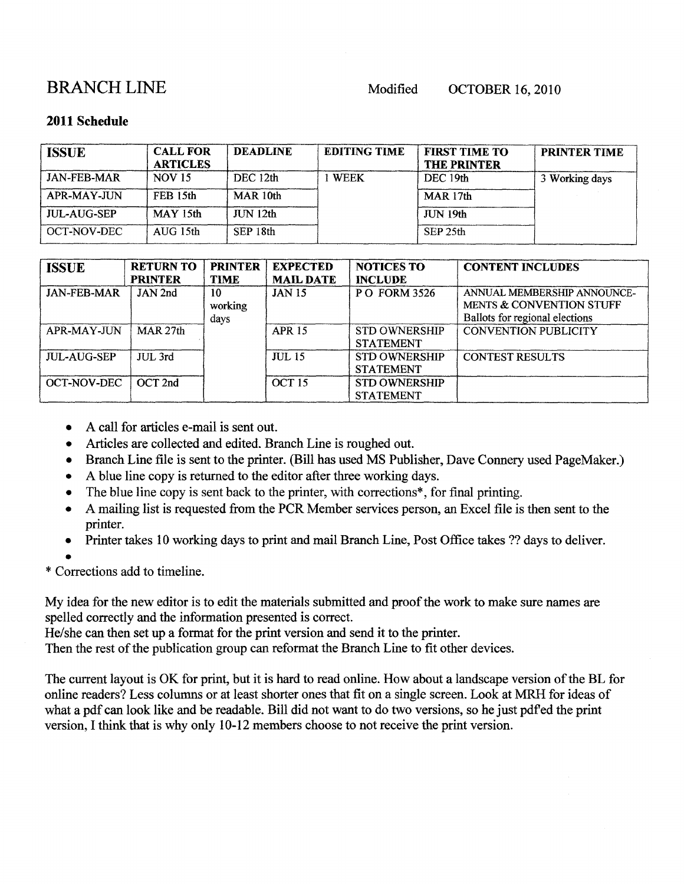# **BRANCHLINE**

Modified

**OCTOBER 16, 2010** 

## 2011 Schedule

| <b>ISSUE</b>       | <b>CALL FOR</b><br><b>ARTICLES</b> | <b>DEADLINE</b> | <b>EDITING TIME</b> | <b>FIRST TIME TO</b><br><b>THE PRINTER</b> | <b>PRINTER TIME</b> |
|--------------------|------------------------------------|-----------------|---------------------|--------------------------------------------|---------------------|
| <b>JAN-FEB-MAR</b> | <b>NOV 15</b>                      | DEC 12th        | <b>WEEK</b>         | DEC 19th                                   | 3 Working days      |
| APR-MAY-JUN        | FEB 15th                           | MAR 10th        |                     | MAR 17th                                   |                     |
| <b>JUL-AUG-SEP</b> | MAY 15th                           | JUN 12th        |                     | JUN 19th                                   |                     |
| <b>OCT-NOV-DEC</b> | AUG 15th                           | SEP 18th        |                     | SEP 25th                                   |                     |

| <b>ISSUE</b>       | <b>RETURN TO</b><br><b>PRINTER</b> | <b>PRINTER</b><br><b>TIME</b> | <b>EXPECTED</b><br><b>MAIL DATE</b> | <b>NOTICES TO</b><br><b>INCLUDE</b>      | <b>CONTENT INCLUDES</b>                                                                              |
|--------------------|------------------------------------|-------------------------------|-------------------------------------|------------------------------------------|------------------------------------------------------------------------------------------------------|
| <b>JAN-FEB-MAR</b> | JAN 2nd                            | 10<br>working<br>days         | <b>JAN 15</b>                       | <b>PO FORM 3526</b>                      | ANNUAL MEMBERSHIP ANNOUNCE-<br><b>MENTS &amp; CONVENTION STUFF</b><br>Ballots for regional elections |
| APR-MAY-JUN        | MAR 27th                           |                               | <b>APR 15</b>                       | <b>STD OWNERSHIP</b><br><b>STATEMENT</b> | <b>CONVENTION PUBLICITY</b>                                                                          |
| JUL-AUG-SEP        | $JUL$ 3rd                          |                               | <b>JUL 15</b>                       | <b>STD OWNERSHIP</b><br><b>STATEMENT</b> | <b>CONTEST RESULTS</b>                                                                               |
| <b>OCT-NOV-DEC</b> | $OCT$ 2nd                          |                               | OCT <sub>15</sub>                   | <b>STD OWNERSHIP</b><br><b>STATEMENT</b> |                                                                                                      |

- A call for articles e-mail is sent out.
- Articles are collected and edited. Branch Line is roughed out.  $\bullet$
- Branch Line file is sent to the printer. (Bill has used MS Publisher, Dave Connery used PageMaker.)
- A blue line copy is returned to the editor after three working days.  $\bullet$
- The blue line copy is sent back to the printer, with corrections\*, for final printing.  $\bullet$
- A mailing list is requested from the PCR Member services person, an Excel file is then sent to the printer.
- Printer takes 10 working days to print and mail Branch Line, Post Office takes ?? days to deliver.  $\bullet$
- 

\* Corrections add to timeline.

My idea for the new editor is to edit the materials submitted and proof the work to make sure names are spelled correctly and the information presented is correct.

He/she can then set up a format for the print version and send it to the printer.

Then the rest of the publication group can reformat the Branch Line to fit other devices.

The current layout is OK for print, but it is hard to read online. How about a landscape version of the BL for online readers? Less columns or at least shorter ones that fit on a single screen. Look at MRH for ideas of what a pdf can look like and be readable. Bill did not want to do two versions, so he just pdf ed the print version, I think that is why only 10-12 members choose to not receive the print version.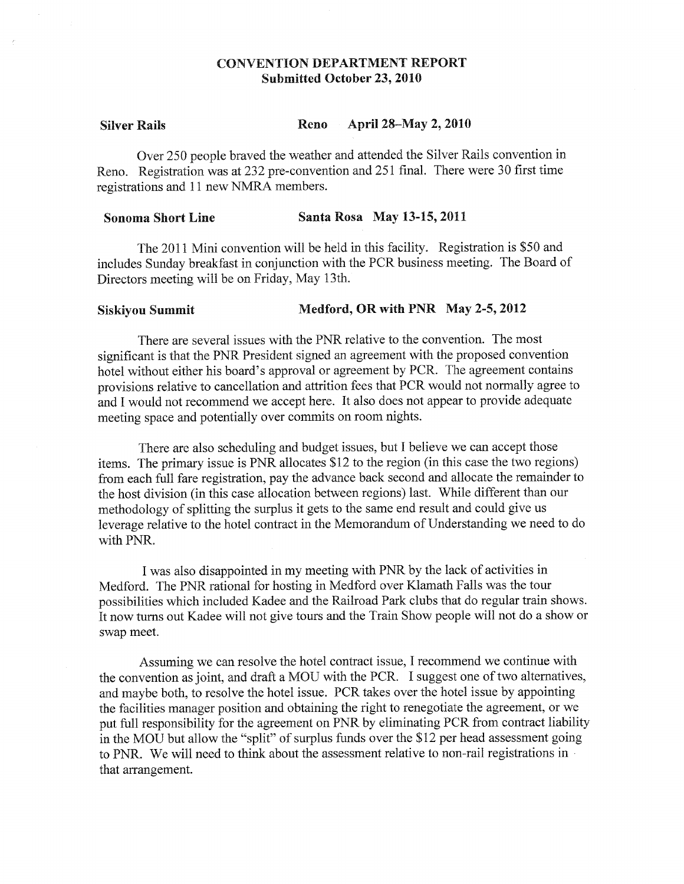## **CONVENTION DEPARTMENT REPORT Submitted October 23, 2010**

#### April 28-May 2, 2010 **Silver Rails** Reno

Over 250 people braved the weather and attended the Silver Rails convention in Reno. Registration was at 232 pre-convention and 251 final. There were 30 first time registrations and 11 new NMRA members.

#### Santa Rosa May 13-15, 2011 **Sonoma Short Line**

The 2011 Mini convention will be held in this facility. Registration is \$50 and includes Sunday breakfast in conjunction with the PCR business meeting. The Board of Directors meeting will be on Friday, May 13th.

#### Medford, OR with PNR May 2-5, 2012 **Siskiyou Summit**

There are several issues with the PNR relative to the convention. The most significant is that the PNR President signed an agreement with the proposed convention hotel without either his board's approval or agreement by PCR. The agreement contains provisions relative to cancellation and attrition fees that PCR would not normally agree to and I would not recommend we accept here. It also does not appear to provide adequate meeting space and potentially over commits on room nights.

There are also scheduling and budget issues, but I believe we can accept those items. The primary issue is PNR allocates \$12 to the region (in this case the two regions) from each full fare registration, pay the advance back second and allocate the remainder to the host division (in this case allocation between regions) last. While different than our methodology of splitting the surplus it gets to the same end result and could give us leverage relative to the hotel contract in the Memorandum of Understanding we need to do with PNR.

I was also disappointed in my meeting with PNR by the lack of activities in Medford. The PNR rational for hosting in Medford over Klamath Falls was the tour possibilities which included Kadee and the Railroad Park clubs that do regular train shows. It now turns out Kadee will not give tours and the Train Show people will not do a show or swap meet.

Assuming we can resolve the hotel contract issue, I recommend we continue with the convention as joint, and draft a MOU with the PCR. I suggest one of two alternatives, and maybe both, to resolve the hotel issue. PCR takes over the hotel issue by appointing the facilities manager position and obtaining the right to renegotiate the agreement, or we put full responsibility for the agreement on PNR by eliminating PCR from contract liability in the MOU but allow the "split" of surplus funds over the \$12 per head assessment going to PNR. We will need to think about the assessment relative to non-rail registrations in that arrangement.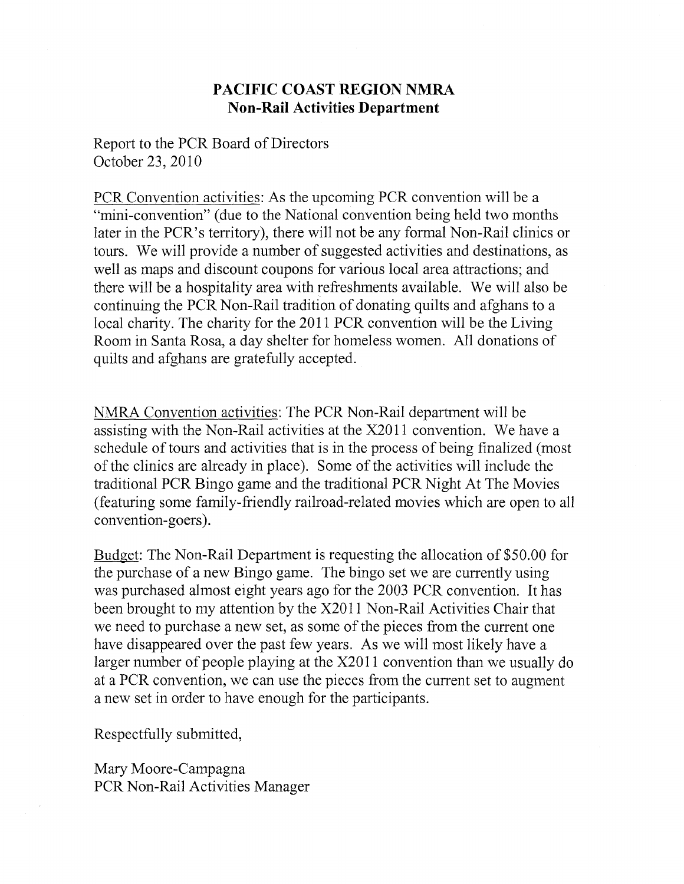## PACIFIC COAST REGION NMRA **Non-Rail Activities Department**

Report to the PCR Board of Directors October 23, 2010

PCR Convention activities: As the upcoming PCR convention will be a "mini-convention" (due to the National convention being held two months later in the PCR's territory), there will not be any formal Non-Rail clinics or tours. We will provide a number of suggested activities and destinations, as well as maps and discount coupons for various local area attractions; and there will be a hospitality area with refreshments available. We will also be continuing the PCR Non-Rail tradition of donating quilts and afghans to a local charity. The charity for the 2011 PCR convention will be the Living Room in Santa Rosa, a day shelter for homeless women. All donations of quilts and afghans are gratefully accepted.

NMRA Convention activities: The PCR Non-Rail department will be assisting with the Non-Rail activities at the X2011 convention. We have a schedule of tours and activities that is in the process of being finalized (most of the clinics are already in place). Some of the activities will include the traditional PCR Bingo game and the traditional PCR Night At The Movies (featuring some family-friendly railroad-related movies which are open to all convention-goers).

Budget: The Non-Rail Department is requesting the allocation of \$50.00 for the purchase of a new Bingo game. The bingo set we are currently using was purchased almost eight years ago for the 2003 PCR convention. It has been brought to my attention by the X2011 Non-Rail Activities Chair that we need to purchase a new set, as some of the pieces from the current one have disappeared over the past few years. As we will most likely have a larger number of people playing at the X2011 convention than we usually do at a PCR convention, we can use the pieces from the current set to augment a new set in order to have enough for the participants.

Respectfully submitted,

Mary Moore-Campagna PCR Non-Rail Activities Manager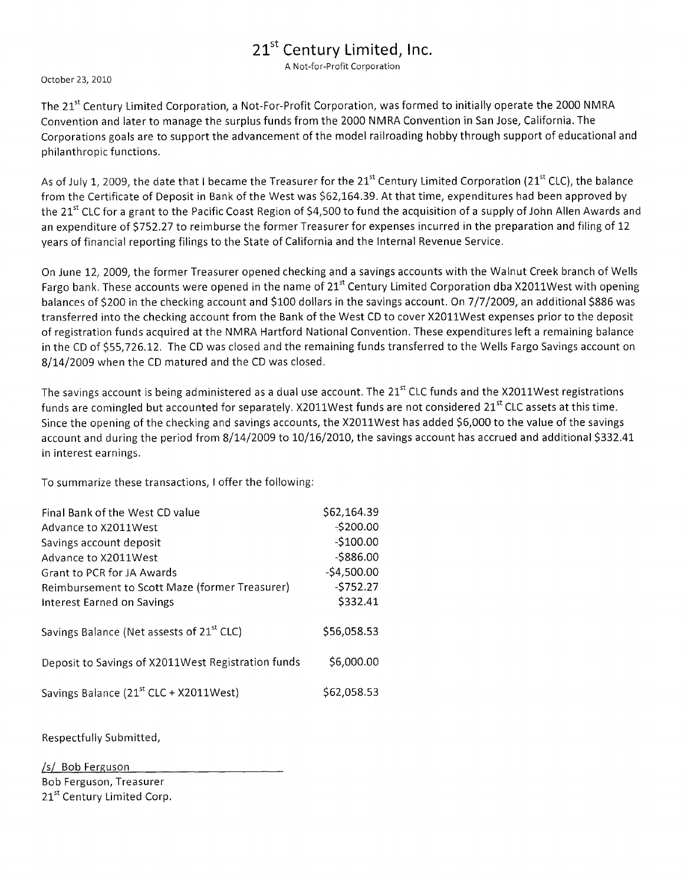# 21<sup>st</sup> Century Limited, Inc.

A Not-for-Profit Corporation

October 23, 2010

The 21<sup>st</sup> Century Limited Corporation, a Not-For-Profit Corporation, was formed to initially operate the 2000 NMRA Convention and later to manage the surplus funds from the 2000 NMRA Convention in San Jose, California. The Corporations goals are to support the advancement of the model railroading hobby through support of educational and philanthropic functions.

As of July 1, 2009, the date that I became the Treasurer for the 21<sup>st</sup> Century Limited Corporation (21<sup>st</sup> CLC), the balance from the Certificate of Deposit in Bank of the West was \$62,164.39. At that time, expenditures had been approved by the 21<sup>st</sup> CLC for a grant to the Pacific Coast Region of \$4,500 to fund the acquisition of a supply of John Allen Awards and an expenditure of \$752.27 to reimburse the former Treasurer for expenses incurred in the preparation and filing of 12 years of financial reporting filings to the State of California and the Internal Revenue Service.

On June 12, 2009, the former Treasurer opened checking and a savings accounts with the Walnut Creek branch of Wells Fargo bank. These accounts were opened in the name of 21<sup>st</sup> Century Limited Corporation dba X2011West with opening balances of \$200 in the checking account and \$100 dollars in the savings account. On 7/7/2009, an additional \$886 was transferred into the checking account from the Bank of the West CD to cover X2011West expenses prior to the deposit of registration funds acquired at the NMRA Hartford National Convention. These expenditures left a remaining balance in the CD of \$55,726.12. The CD was closed and the remaining funds transferred to the Wells Fargo Savings account on 8/14/2009 when the CD matured and the CD was closed.

The savings account is being administered as a dual use account. The 21<sup>st</sup> CLC funds and the X2011West registrations funds are comingled but accounted for separately. X2011West funds are not considered 21<sup>st</sup> CLC assets at this time. Since the opening of the checking and savings accounts, the X2011West has added \$6,000 to the value of the savings account and during the period from 8/14/2009 to 10/16/2010, the savings account has accrued and additional \$332.41 in interest earnings.

To summarize these transactions, I offer the following:

| Final Bank of the West CD value                       | \$62,164.39  |
|-------------------------------------------------------|--------------|
| Advance to X2011West                                  | $-5200.00$   |
| Savings account deposit                               | $-$100.00$   |
| Advance to X2011West                                  | $-5886.00$   |
| Grant to PCR for JA Awards                            | $-54,500.00$ |
| Reimbursement to Scott Maze (former Treasurer)        | $-5752.27$   |
| Interest Earned on Savings                            | \$332.41     |
| Savings Balance (Net assests of 21 <sup>st</sup> CLC) | \$56,058.53  |
| Deposit to Savings of X2011West Registration funds    | \$6,000.00   |
| Savings Balance (21 <sup>st</sup> CLC + X2011West)    | \$62,058.53  |

Respectfully Submitted,

/s/ Bob Ferguson Bob Ferguson, Treasurer 21<sup>st</sup> Century Limited Corp.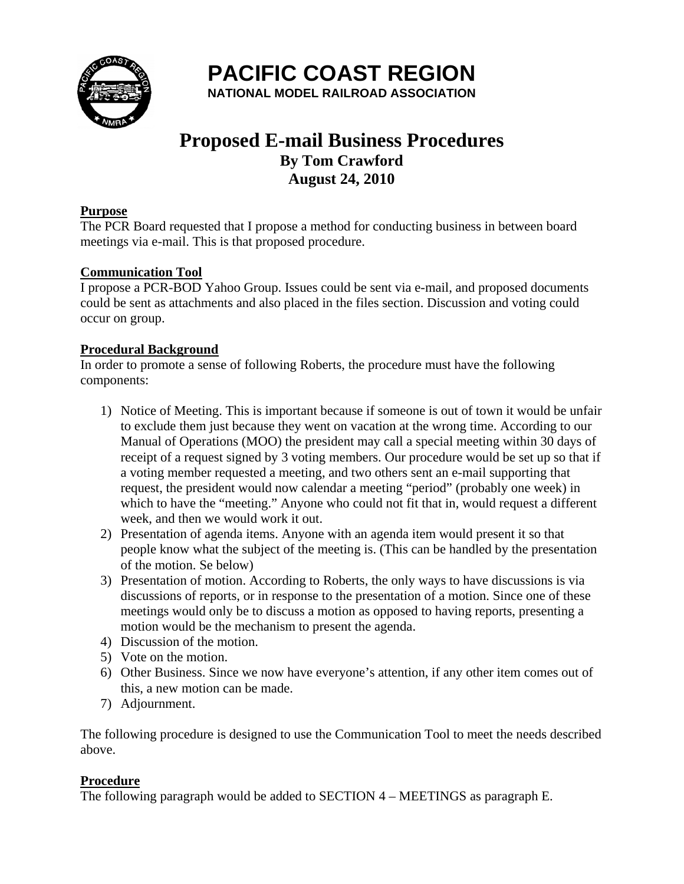

**PACIFIC COAST REGION** 

**NATIONAL MODEL RAILROAD ASSOCIATION** 

# **Proposed E-mail Business Procedures By Tom Crawford August 24, 2010**

## **Purpose**

The PCR Board requested that I propose a method for conducting business in between board meetings via e-mail. This is that proposed procedure.

## **Communication Tool**

I propose a PCR-BOD Yahoo Group. Issues could be sent via e-mail, and proposed documents could be sent as attachments and also placed in the files section. Discussion and voting could occur on group.

## **Procedural Background**

In order to promote a sense of following Roberts, the procedure must have the following components:

- 1) Notice of Meeting. This is important because if someone is out of town it would be unfair to exclude them just because they went on vacation at the wrong time. According to our Manual of Operations (MOO) the president may call a special meeting within 30 days of receipt of a request signed by 3 voting members. Our procedure would be set up so that if a voting member requested a meeting, and two others sent an e-mail supporting that request, the president would now calendar a meeting "period" (probably one week) in which to have the "meeting." Anyone who could not fit that in, would request a different week, and then we would work it out.
- 2) Presentation of agenda items. Anyone with an agenda item would present it so that people know what the subject of the meeting is. (This can be handled by the presentation of the motion. Se below)
- 3) Presentation of motion. According to Roberts, the only ways to have discussions is via discussions of reports, or in response to the presentation of a motion. Since one of these meetings would only be to discuss a motion as opposed to having reports, presenting a motion would be the mechanism to present the agenda.
- 4) Discussion of the motion.
- 5) Vote on the motion.
- 6) Other Business. Since we now have everyone's attention, if any other item comes out of this, a new motion can be made.
- 7) Adjournment.

The following procedure is designed to use the Communication Tool to meet the needs described above.

## **Procedure**

The following paragraph would be added to SECTION 4 – MEETINGS as paragraph E.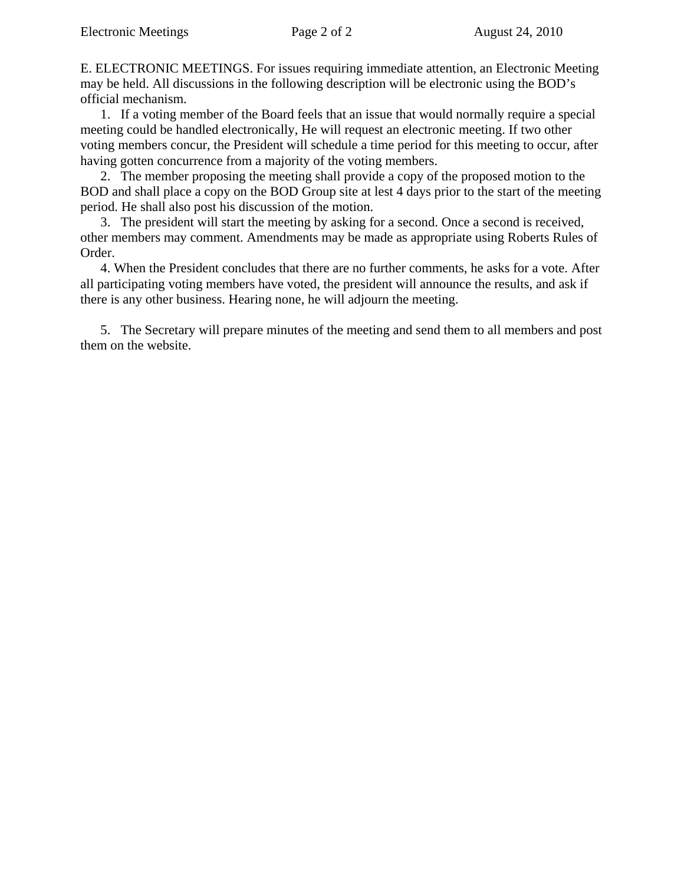E. ELECTRONIC MEETINGS. For issues requiring immediate attention, an Electronic Meeting may be held. All discussions in the following description will be electronic using the BOD's official mechanism.

1. If a voting member of the Board feels that an issue that would normally require a special meeting could be handled electronically, He will request an electronic meeting. If two other voting members concur, the President will schedule a time period for this meeting to occur, after having gotten concurrence from a majority of the voting members.

2. The member proposing the meeting shall provide a copy of the proposed motion to the BOD and shall place a copy on the BOD Group site at lest 4 days prior to the start of the meeting period. He shall also post his discussion of the motion.

3. The president will start the meeting by asking for a second. Once a second is received, other members may comment. Amendments may be made as appropriate using Roberts Rules of Order.

4. When the President concludes that there are no further comments, he asks for a vote. After all participating voting members have voted, the president will announce the results, and ask if there is any other business. Hearing none, he will adjourn the meeting.

5. The Secretary will prepare minutes of the meeting and send them to all members and post them on the website.